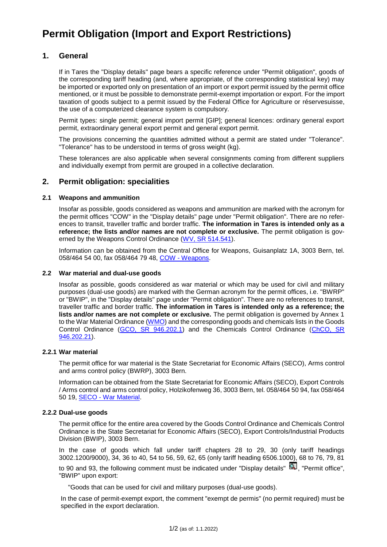# **Permit Obligation (Import and Export Restrictions)**

# **1. General**

If in Tares the "Display details" page bears a specific reference under "Permit obligation", goods of the corresponding tariff heading (and, where appropriate, of the corresponding statistical key) may be imported or exported only on presentation of an import or export permit issued by the permit office mentioned, or it must be possible to demonstrate permit-exempt importation or export. For the import taxation of goods subject to a permit issued by the Federal Office for Agriculture or réservesuisse, the use of a computerized clearance system is compulsory.

Permit types: single permit; general import permit [GIP]; general licences: ordinary general export permit, extraordinary general export permit and general export permit.

The provisions concerning the quantities admitted without a permit are stated under "Tolerance". "Tolerance" has to be understood in terms of gross weight (kg).

These tolerances are also applicable when several consignments coming from different suppliers and individually exempt from permit are grouped in a collective declaration.

# **2. Permit obligation: specialities**

#### **2.1 Weapons and ammunition**

Insofar as possible, goods considered as weapons and ammunition are marked with the acronym for the permit offices "COW" in the "Display details" page under "Permit obligation". There are no references to transit, traveller traffic and border traffic. **The information in Tares is intended only as a reference; the lists and/or names are not complete or exclusive.** The permit obligation is gov-erned by the Weapons Control Ordinance [\(WV, SR 514.541\)](https://www.fedlex.admin.ch/eli/cc/2008/767/fr).

Information can be obtained from the Central Office for Weapons, Guisanplatz 1A, 3003 Bern, tel. 058/464 54 00, fax 058/464 79 48, COW - [Weapons.](https://www.fedpol.admin.ch/fedpol/fr/home/sicherheit/waffen.html)

#### **2.2 War material and dual-use goods**

Insofar as possible, goods considered as war material or which may be used for civil and military purposes (dual-use goods) are marked with the German acronym for the permit offices, i.e. "BWRP" or "BWIP", in the "Display details" page under "Permit obligation". There are no references to transit, traveller traffic and border traffic. **The information in Tares is intended only as a reference; the lists and/or names are not complete or exclusive.** The permit obligation is governed by Annex 1 to the War Material Ordinance [\(WMO\)](https://www.fedlex.admin.ch/eli/cc/1998/808_808_808/en) and the corresponding goods and chemicals lists in the Goods Control Ordinance [\(GCO, SR 946.202.1\)](https://www.fedlex.admin.ch/eli/cc/2016/352/en) and the Chemicals Control Ordinance [\(ChCO, SR](https://www.fedlex.admin.ch/eli/cc/2013/580/fr)  [946.202.21\)](https://www.fedlex.admin.ch/eli/cc/2013/580/fr).

#### **2.2.1 War material**

The permit office for war material is the State Secretariat for Economic Affairs (SECO), Arms control and arms control policy (BWRP), 3003 Bern.

Information can be obtained from the State Secretariat for Economic Affairs (SECO), Export Controls / Arms control and arms control policy, Holzikofenweg 36, 3003 Bern, tel. 058/464 50 94, fax 058/464 50 19, SECO - [War Material.](https://www.seco.admin.ch/seco/fr/home/Aussenwirtschaftspolitik_Wirtschaftliche_Zusammenarbeit/Wirtschaftsbeziehungen/exportkontrollen-und-sanktionen/ruestungskontrolle-und-ruestungskontrollpolitik--bwrp-.html)

## **2.2.2 Dual-use goods**

The permit office for the entire area covered by the Goods Control Ordinance and Chemicals Control Ordinance is the State Secretariat for Economic Affairs (SECO), Export Controls/Industrial Products Division (BWIP), 3003 Bern.

In the case of goods which fall under tariff chapters 28 to 29, 30 (only tariff headings 3002.1200/9000), 34, 36 to 40, 54 to 56, 59, 62, 65 (only tariff heading 6506.1000), 68 to 76, 79, 81

to 90 and 93, the following comment must be indicated under "Display details"  $\mathbb{Q}$ , "Permit office". "BWIP" upon export:

"Goods that can be used for civil and military purposes (dual-use goods).

In the case of permit-exempt export, the comment "exempt de permis" (no permit required) must be specified in the export declaration.